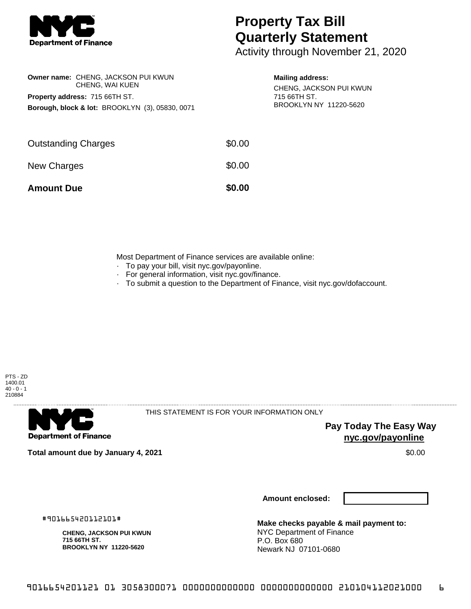

## **Property Tax Bill Quarterly Statement**

Activity through November 21, 2020

| <b>Owner name: CHENG, JACKSON PUI KWUN</b><br>CHENG, WAI KUEN<br><b>Property address: 715 66TH ST.</b><br><b>Borough, block &amp; lot: BROOKLYN (3), 05830, 0071</b> | <b>Mailing address:</b><br>CHENG, JACKSON PUI KWUN<br>715 66TH ST.<br>BROOKLYN NY 11220-5620 |  |
|----------------------------------------------------------------------------------------------------------------------------------------------------------------------|----------------------------------------------------------------------------------------------|--|
| <b>Outstanding Charges</b>                                                                                                                                           | \$0.00                                                                                       |  |
| New Charges                                                                                                                                                          | \$0.00                                                                                       |  |
| <b>Amount Due</b>                                                                                                                                                    | \$0.00                                                                                       |  |

Most Department of Finance services are available online:

- · To pay your bill, visit nyc.gov/payonline.
- For general information, visit nyc.gov/finance.
- · To submit a question to the Department of Finance, visit nyc.gov/dofaccount.





THIS STATEMENT IS FOR YOUR INFORMATION ONLY

**Pay Today The Easy Way nyc.gov/payonline**

**Total amount due by January 4, 2021** \$0.00

**Amount enclosed:**

#901665420112101#

**CHENG, JACKSON PUI KWUN 715 66TH ST. BROOKLYN NY 11220-5620**

**Make checks payable & mail payment to:** NYC Department of Finance P.O. Box 680 Newark NJ 07101-0680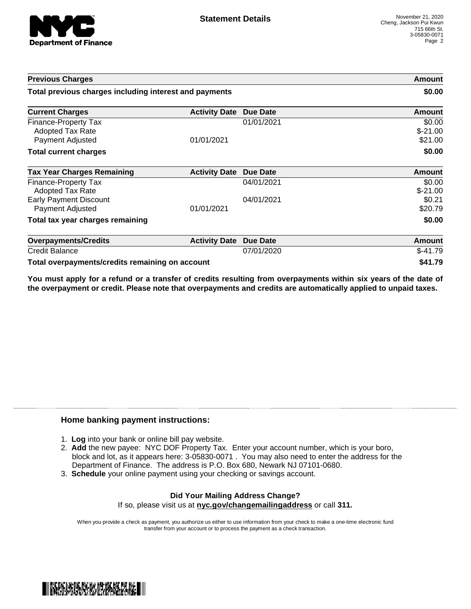

| <b>Previous Charges</b>                                             |                               |                 | Amount                         |
|---------------------------------------------------------------------|-------------------------------|-----------------|--------------------------------|
| Total previous charges including interest and payments              |                               |                 | \$0.00                         |
| <b>Current Charges</b>                                              | <b>Activity Date</b>          | <b>Due Date</b> | Amount                         |
| Finance-Property Tax<br><b>Adopted Tax Rate</b><br>Payment Adjusted | 01/01/2021                    | 01/01/2021      | \$0.00<br>$$-21.00$<br>\$21.00 |
| <b>Total current charges</b>                                        |                               |                 | \$0.00                         |
| <b>Tax Year Charges Remaining</b>                                   | <b>Activity Date Due Date</b> |                 | <b>Amount</b>                  |
| Finance-Property Tax<br><b>Adopted Tax Rate</b>                     |                               | 04/01/2021      | \$0.00<br>$$-21.00$            |
| <b>Early Payment Discount</b><br>Payment Adjusted                   | 01/01/2021                    | 04/01/2021      | \$0.21<br>\$20.79              |
| Total tax year charges remaining                                    |                               |                 | \$0.00                         |
| <b>Overpayments/Credits</b>                                         | <b>Activity Date</b>          | <b>Due Date</b> | <b>Amount</b>                  |
| <b>Credit Balance</b>                                               |                               | 07/01/2020      | $$-41.79$                      |
| Total overpayments/credits remaining on account                     |                               |                 | \$41.79                        |

You must apply for a refund or a transfer of credits resulting from overpayments within six years of the date of **the overpayment or credit. Please note that overpayments and credits are automatically applied to unpaid taxes.**

## **Home banking payment instructions:**

- 1. **Log** into your bank or online bill pay website.
- 2. **Add** the new payee: NYC DOF Property Tax. Enter your account number, which is your boro, block and lot, as it appears here: 3-05830-0071 . You may also need to enter the address for the Department of Finance. The address is P.O. Box 680, Newark NJ 07101-0680.
- 3. **Schedule** your online payment using your checking or savings account.

## **Did Your Mailing Address Change?** If so, please visit us at **nyc.gov/changemailingaddress** or call **311.**

When you provide a check as payment, you authorize us either to use information from your check to make a one-time electronic fund transfer from your account or to process the payment as a check transaction.